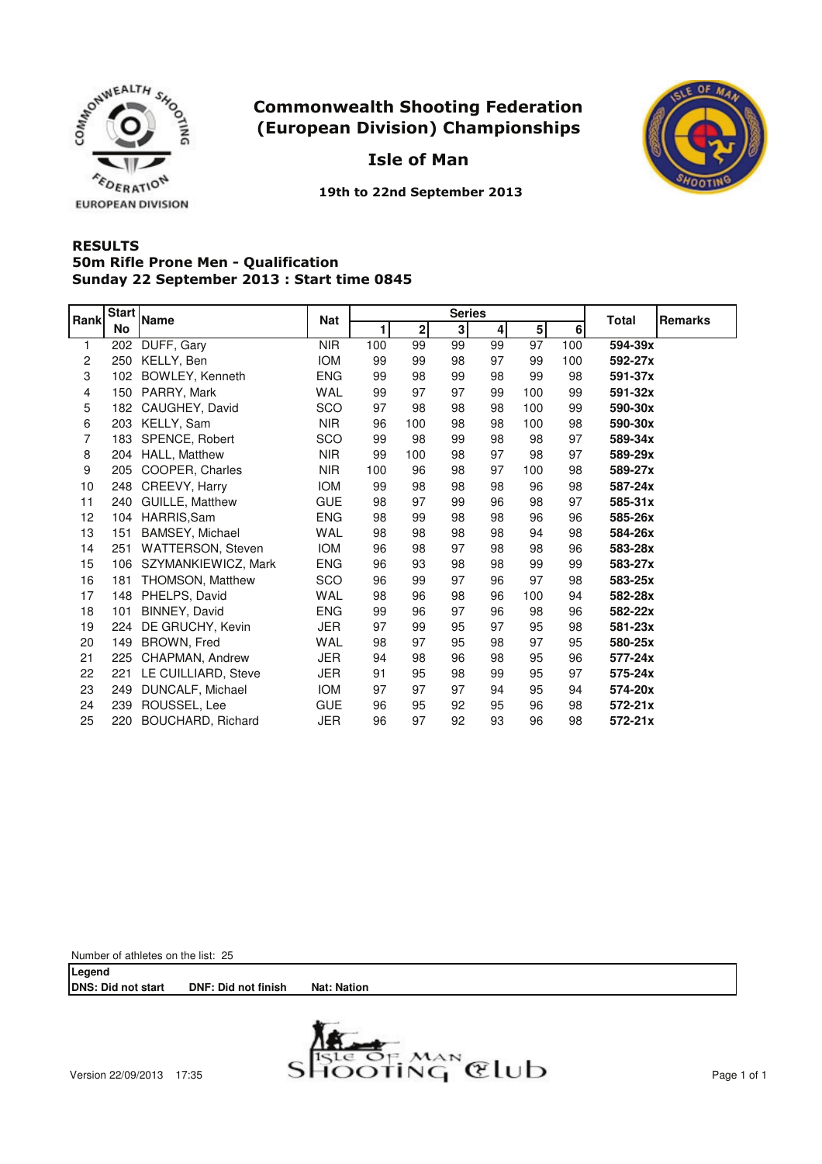

Isle of Man



19th to 22nd September 2013

### **RESULTS** Sunday 22 September 2013 : Start time 0845 50m Rifle Prone Men - Qualification

| Rank           | Start | <b>Name</b>              | <b>Nat</b> |     |              | <b>Series</b>  | Total<br>Remarks |                |     |             |
|----------------|-------|--------------------------|------------|-----|--------------|----------------|------------------|----------------|-----|-------------|
|                | No    |                          |            | 1   | $\mathbf{2}$ | 3 <sup>1</sup> | 4                | 5 <sup>1</sup> | 6   |             |
| 1              | 202   | DUFF, Gary               | <b>NIR</b> | 100 | 99           | 99             | 99               | 97             | 100 | 594-39x     |
| $\overline{c}$ | 250   | KELLY, Ben               | <b>IOM</b> | 99  | 99           | 98             | 97               | 99             | 100 | 592-27x     |
| 3              | 102   | BOWLEY, Kenneth          | <b>ENG</b> | 99  | 98           | 99             | 98               | 99             | 98  | 591-37x     |
| 4              | 150   | PARRY, Mark              | <b>WAL</b> | 99  | 97           | 97             | 99               | 100            | 99  | 591-32x     |
| 5              | 182   | CAUGHEY, David           | SCO        | 97  | 98           | 98             | 98               | 100            | 99  | 590-30x     |
| 6              | 203   | KELLY, Sam               | <b>NIR</b> | 96  | 100          | 98             | 98               | 100            | 98  | 590-30x     |
| 7              | 183   | SPENCE, Robert           | SCO        | 99  | 98           | 99             | 98               | 98             | 97  | 589-34x     |
| 8              | 204   | HALL, Matthew            | <b>NIR</b> | 99  | 100          | 98             | 97               | 98             | 97  | 589-29x     |
| 9              | 205   | COOPER, Charles          | <b>NIR</b> | 100 | 96           | 98             | 97               | 100            | 98  | 589-27x     |
| 10             | 248   | CREEVY, Harry            | <b>IOM</b> | 99  | 98           | 98             | 98               | 96             | 98  | 587-24x     |
| 11             | 240   | GUILLE, Matthew          | <b>GUE</b> | 98  | 97           | 99             | 96               | 98             | 97  | 585-31x     |
| 12             | 104   | HARRIS, Sam              | <b>ENG</b> | 98  | 99           | 98             | 98               | 96             | 96  | 585-26x     |
| 13             | 151   | BAMSEY, Michael          | <b>WAL</b> | 98  | 98           | 98             | 98               | 94             | 98  | 584-26x     |
| 14             | 251   | <b>WATTERSON, Steven</b> | <b>IOM</b> | 96  | 98           | 97             | 98               | 98             | 96  | 583-28x     |
| 15             | 106   | SZYMANKIEWICZ, Mark      | <b>ENG</b> | 96  | 93           | 98             | 98               | 99             | 99  | 583-27x     |
| 16             | 181   | THOMSON, Matthew         | SCO        | 96  | 99           | 97             | 96               | 97             | 98  | 583-25x     |
| 17             | 148   | PHELPS, David            | <b>WAL</b> | 98  | 96           | 98             | 96               | 100            | 94  | 582-28x     |
| 18             | 101   | BINNEY, David            | <b>ENG</b> | 99  | 96           | 97             | 96               | 98             | 96  | 582-22x     |
| 19             | 224   | DE GRUCHY, Kevin         | <b>JER</b> | 97  | 99           | 95             | 97               | 95             | 98  | 581-23x     |
| 20             | 149   | BROWN, Fred              | <b>WAL</b> | 98  | 97           | 95             | 98               | 97             | 95  | 580-25x     |
| 21             | 225   | CHAPMAN, Andrew          | <b>JER</b> | 94  | 98           | 96             | 98               | 95             | 96  | 577-24x     |
| 22             | 221   | LE CUILLIARD, Steve      | JER        | 91  | 95           | 98             | 99               | 95             | 97  | 575-24x     |
| 23             | 249   | DUNCALF, Michael         | <b>IOM</b> | 97  | 97           | 97             | 94               | 95             | 94  | 574-20x     |
| 24             | 239   | ROUSSEL, Lee             | <b>GUE</b> | 96  | 95           | 92             | 95               | 96             | 98  | $572 - 21x$ |
| 25             | 220   | BOUCHARD, Richard        | JER        | 96  | 97           | 92             | 93               | 96             | 98  | $572 - 21x$ |

Number of athletes on the list: 25

**Legend DNS: Did not start DNF: Did not finish Nat: Nation**

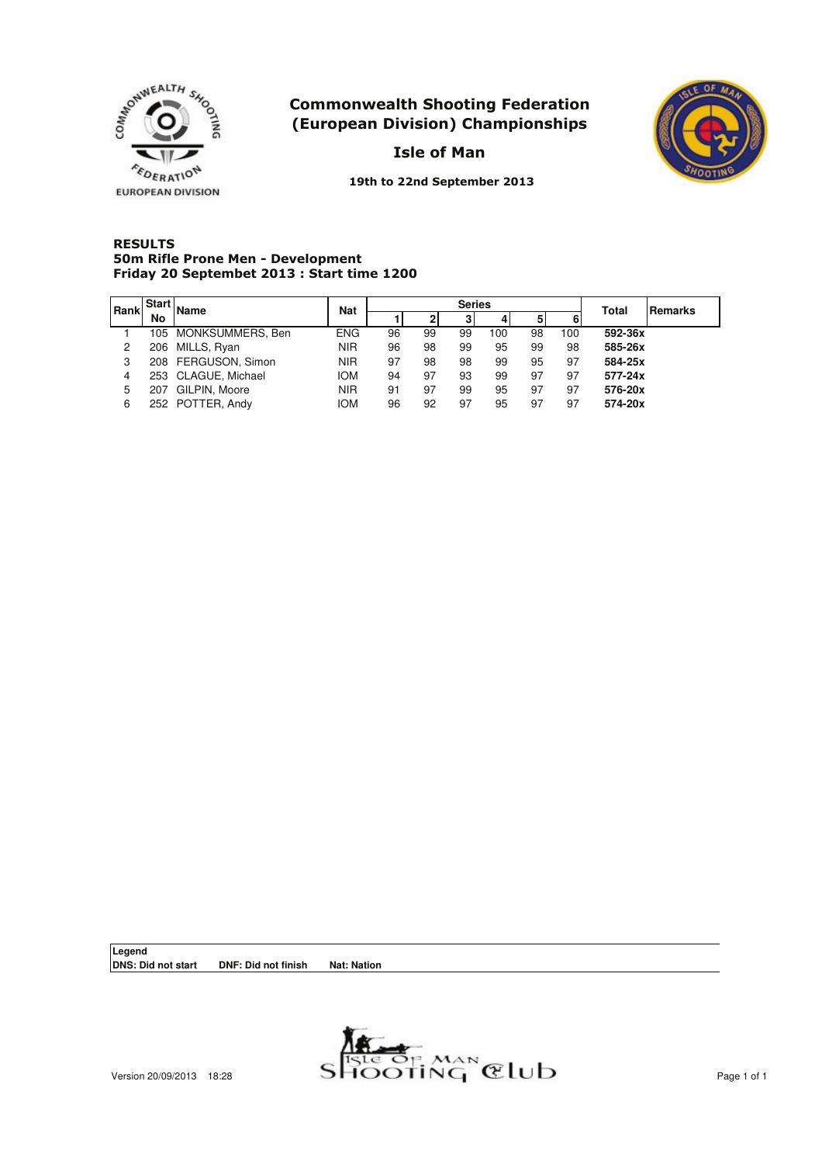

Isle of Man



19th to 22nd September 2013

#### **RESULTS** Friday 20 Septembet 2013 : Start time 1200 50m Rifle Prone Men - Development

| l Rank | <b>Start</b> | <b>Name</b>          | <b>Nat</b> |    |    | <b>Series</b> |     | Total | <b>Remarks</b> |         |  |
|--------|--------------|----------------------|------------|----|----|---------------|-----|-------|----------------|---------|--|
|        | No           |                      |            |    |    | 3             | 4   | 51    |                |         |  |
|        |              | 105 MONKSUMMERS, Ben | <b>ENG</b> | 96 | 99 | 99            | 100 | 98    | 100            | 592-36x |  |
| 2      |              | 206 MILLS, Ryan      | <b>NIR</b> | 96 | 98 | 99            | 95  | 99    | 98             | 585-26x |  |
| 3      |              | 208 FERGUSON, Simon  | <b>NIR</b> | 97 | 98 | 98            | 99  | 95    | 97             | 584-25x |  |
| 4      |              | 253 CLAGUE, Michael  | <b>IOM</b> | 94 | 97 | 93            | 99  | 97    | 97             | 577-24x |  |
| 5      |              | 207 GILPIN, Moore    | <b>NIR</b> | 91 | 97 | 99            | 95  | 97    | 97             | 576-20x |  |
| 6      |              | 252 POTTER, Andy     | <b>IOM</b> | 96 | 92 | 97            | 95  | 97    | 97             | 574-20x |  |

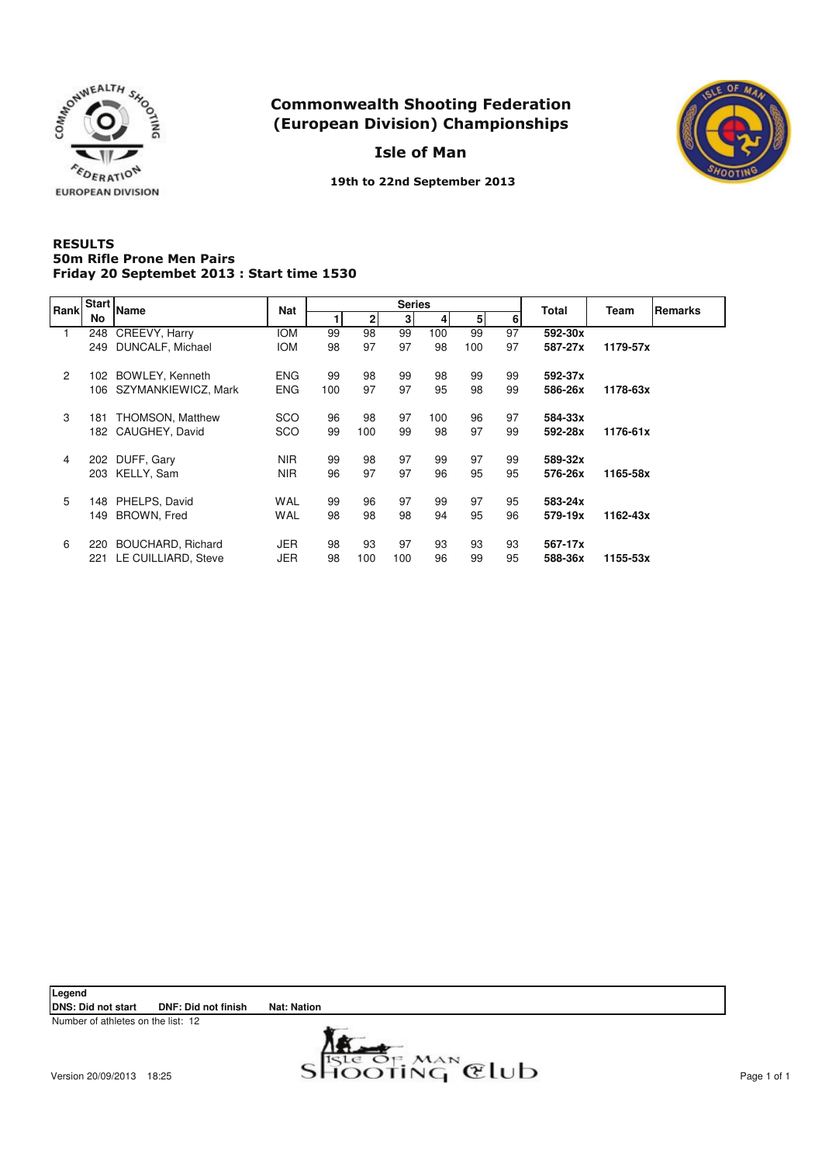

Isle of Man



19th to 22nd September 2013

#### **RESULTS** Friday 20 Septembet 2013 : Start time 1530 50m Rifle Prone Men Pairs

| Rank           | <b>Start</b> | <b>Name</b>             | Nat        |     |     | <b>Series</b> |     |     |    | <b>Total</b> | Team     | <b>Remarks</b> |
|----------------|--------------|-------------------------|------------|-----|-----|---------------|-----|-----|----|--------------|----------|----------------|
|                | No           |                         |            |     | 21  | 3             | 4   | 51  | 6  |              |          |                |
| 1.             | 248          | CREEVY, Harry           | <b>IOM</b> | 99  | 98  | 99            | 100 | 99  | 97 | 592-30x      |          |                |
|                | 249          | DUNCALF, Michael        | <b>IOM</b> | 98  | 97  | 97            | 98  | 100 | 97 | 587-27x      | 1179-57x |                |
| $\overline{2}$ | 102 .        | BOWLEY, Kenneth         | <b>ENG</b> | 99  | 98  | 99            | 98  | 99  | 99 | 592-37x      |          |                |
|                | 106          | SZYMANKIEWICZ, Mark     | <b>ENG</b> | 100 | 97  | 97            | 95  | 98  | 99 | 586-26x      | 1178-63x |                |
| 3              | 181          | <b>THOMSON, Matthew</b> | <b>SCO</b> | 96  | 98  | 97            | 100 | 96  | 97 | 584-33x      |          |                |
|                |              | 182 CAUGHEY, David      | SCO        | 99  | 100 | 99            | 98  | 97  | 99 | 592-28x      | 1176-61x |                |
| 4              | 202          | DUFF, Gary              | <b>NIR</b> | 99  | 98  | 97            | 99  | 97  | 99 | 589-32x      |          |                |
|                | 203          | KELLY, Sam              | <b>NIR</b> | 96  | 97  | 97            | 96  | 95  | 95 | 576-26x      | 1165-58x |                |
| 5              | 148          | PHELPS, David           | <b>WAL</b> | 99  | 96  | 97            | 99  | 97  | 95 | 583-24x      |          |                |
|                | 149          | BROWN, Fred             | <b>WAL</b> | 98  | 98  | 98            | 94  | 95  | 96 | 579-19x      | 1162-43x |                |
| 6              | 220          | BOUCHARD, Richard       | JER        | 98  | 93  | 97            | 93  | 93  | 93 | 567-17x      |          |                |
|                | 221          | LE CUILLIARD, Steve     | <b>JER</b> | 98  | 100 | 100           | 96  | 99  | 95 | 588-36x      | 1155-53x |                |

Legend<br>DNS: Did not start **DNF: Did not finish Nat: Nation** 

Number of athletes on the list: 12